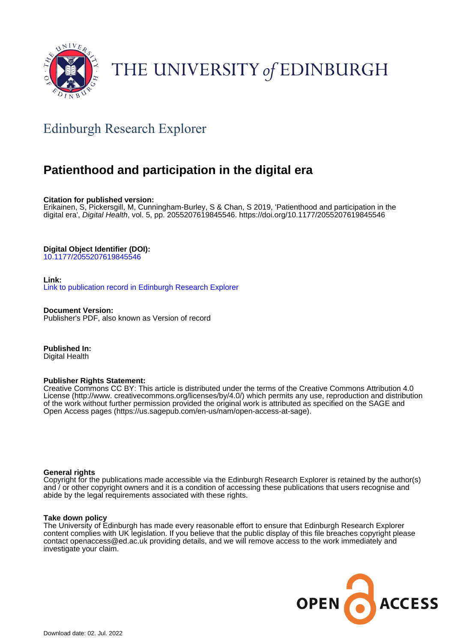

# THE UNIVERSITY of EDINBURGH

## Edinburgh Research Explorer

## **Patienthood and participation in the digital era**

**Citation for published version:**

Erikainen, S, Pickersgill, M, Cunningham-Burley, S & Chan, S 2019, 'Patienthood and participation in the digital era', Digital Health, vol. 5, pp. 2055207619845546. <https://doi.org/10.1177/2055207619845546>

**Digital Object Identifier (DOI):**

[10.1177/2055207619845546](https://doi.org/10.1177/2055207619845546)

**Link:**

[Link to publication record in Edinburgh Research Explorer](https://www.research.ed.ac.uk/en/publications/91de96ce-7309-48bc-b606-62b15b33ba2a)

**Document Version:** Publisher's PDF, also known as Version of record

**Published In:** Digital Health

## **Publisher Rights Statement:**

Creative Commons CC BY: This article is distributed under the terms of the Creative Commons Attribution 4.0 License (http://www. creativecommons.org/licenses/by/4.0/) which permits any use, reproduction and distribution of the work without further permission provided the original work is attributed as specified on the SAGE and Open Access pages (https://us.sagepub.com/en-us/nam/open-access-at-sage).

## **General rights**

Copyright for the publications made accessible via the Edinburgh Research Explorer is retained by the author(s) and / or other copyright owners and it is a condition of accessing these publications that users recognise and abide by the legal requirements associated with these rights.

## **Take down policy**

The University of Edinburgh has made every reasonable effort to ensure that Edinburgh Research Explorer content complies with UK legislation. If you believe that the public display of this file breaches copyright please contact openaccess@ed.ac.uk providing details, and we will remove access to the work immediately and investigate your claim.

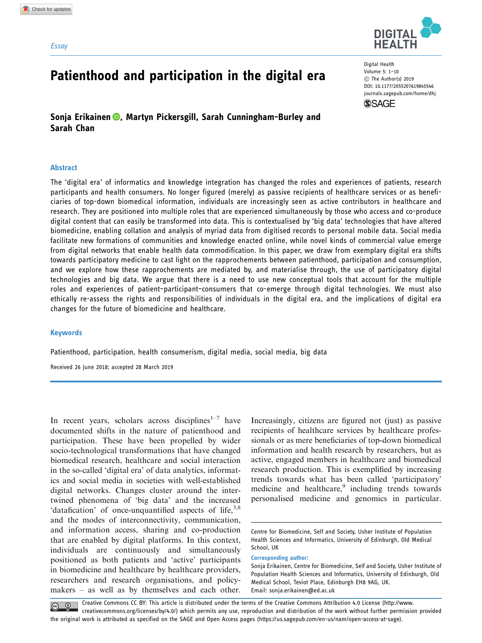#### **Essay**



Digital Health Volume 5: 1–10 C The Author(s) 2019 [DOI: 10.1177/2055207619845546](http://dx.doi.org/10.1177/2055207619845546) <journals.sagepub.com/home/dhj>



Sonja Erikainen **D**[,](https://orcid.org/0000-0002-1442-3050) Martyn Pickersgill, Sarah Cunningham-Burley and Sarah Chan

Patienthood and participation in the digital era

#### Abstract

The 'digital era' of informatics and knowledge integration has changed the roles and experiences of patients, research participants and health consumers. No longer figured (merely) as passive recipients of healthcare services or as beneficiaries of top-down biomedical information, individuals are increasingly seen as active contributors in healthcare and research. They are positioned into multiple roles that are experienced simultaneously by those who access and co-produce digital content that can easily be transformed into data. This is contextualised by 'big data' technologies that have altered biomedicine, enabling collation and analysis of myriad data from digitised records to personal mobile data. Social media facilitate new formations of communities and knowledge enacted online, while novel kinds of commercial value emerge from digital networks that enable health data commodification. In this paper, we draw from exemplary digital era shifts towards participatory medicine to cast light on the rapprochements between patienthood, participation and consumption, and we explore how these rapprochements are mediated by, and materialise through, the use of participatory digital technologies and big data. We argue that there is a need to use new conceptual tools that account for the multiple roles and experiences of patient–participant–consumers that co-emerge through digital technologies. We must also ethically re-assess the rights and responsibilities of individuals in the digital era, and the implications of digital era changes for the future of biomedicine and healthcare.

#### Keywords

Patienthood, participation, health consumerism, digital media, social media, big data

Received 26 June 2018; accepted 28 March 2019

In recent years, scholars across disciplines<sup>1-7</sup> have documented shifts in the nature of patienthood and participation. These have been propelled by wider socio-technological transformations that have changed biomedical research, healthcare and social interaction in the so-called 'digital era' of data analytics, informatics and social media in societies with well-established digital networks. Changes cluster around the intertwined phenomena of 'big data' and the increased 'datafication' of once-unquantified aspects of life, $3,8$ and the modes of interconnectivity, communication, and information access, sharing and co-production that are enabled by digital platforms. In this context, individuals are continuously and simultaneously positioned as both patients and 'active' participants in biomedicine and healthcare by healthcare providers, researchers and research organisations, and policymakers – as well as by themselves and each other. Increasingly, citizens are figured not (just) as passive recipients of healthcare services by healthcare professionals or as mere beneficiaries of top-down biomedical information and health research by researchers, but as active, engaged members in healthcare and biomedical research production. This is exemplified by increasing trends towards what has been called 'participatory' medicine and healthcare,<sup>9</sup> including trends towards personalised medicine and genomics in particular.

#### Corresponding author:

Creative Commons CC BY: This article is distributed under the terms of the Creative Commons Attribution 4.0 License (http://www. creativecommons.org/licenses/by/4.0/) which permits any use, reproduction and distribution of the work without further permission provided the original work is attributed as specified on the SAGE and Open Access pages (https://us.sagepub.com/en-us/nam/open-access-at-sage).

Centre for Biomedicine, Self and Society, Usher Institute of Population Health Sciences and Informatics, University of Edinburgh, Old Medical School, UK

Sonja Erikainen, Centre for Biomedicine, Self and Society, Usher Institute of Population Health Sciences and Informatics, University of Edinburgh, Old Medical School, Teviot Place, Edinburgh EH8 9AG, UK. Email: [sonja.erikainen@ed.ac.uk](mailto:sonja.erikainen@ed.ac.uk)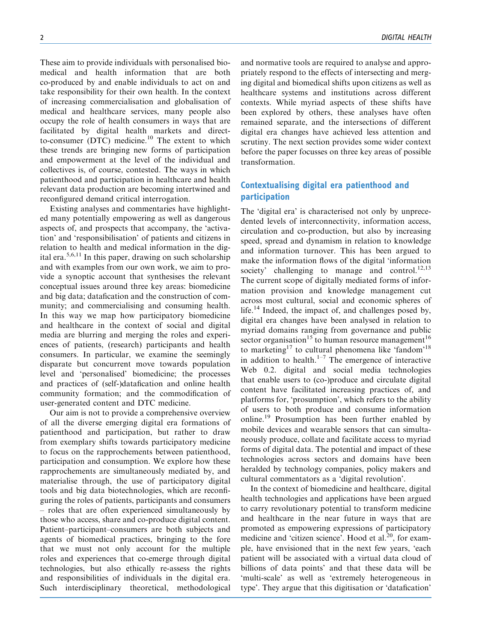These aim to provide individuals with personalised biomedical and health information that are both co-produced by and enable individuals to act on and take responsibility for their own health. In the context of increasing commercialisation and globalisation of medical and healthcare services, many people also occupy the role of health consumers in ways that are facilitated by digital health markets and directto-consumer (DTC) medicine.<sup>10</sup> The extent to which these trends are bringing new forms of participation and empowerment at the level of the individual and collectives is, of course, contested. The ways in which patienthood and participation in healthcare and health relevant data production are becoming intertwined and reconfigured demand critical interrogation.

Existing analyses and commentaries have highlighted many potentially empowering as well as dangerous aspects of, and prospects that accompany, the 'activation' and 'responsibilisation' of patients and citizens in relation to health and medical information in the digital era.<sup>5,6,11</sup> In this paper, drawing on such scholarship and with examples from our own work, we aim to provide a synoptic account that synthesises the relevant conceptual issues around three key areas: biomedicine and big data; datafication and the construction of community; and commercialising and consuming health. In this way we map how participatory biomedicine and healthcare in the context of social and digital media are blurring and merging the roles and experiences of patients, (research) participants and health consumers. In particular, we examine the seemingly disparate but concurrent move towards population level and 'personalised' biomedicine; the processes and practices of (self-)datafication and online health community formation; and the commodification of user-generated content and DTC medicine.

Our aim is not to provide a comprehensive overview of all the diverse emerging digital era formations of patienthood and participation, but rather to draw from exemplary shifts towards participatory medicine to focus on the rapprochements between patienthood, participation and consumption. We explore how these rapprochements are simultaneously mediated by, and materialise through, the use of participatory digital tools and big data biotechnologies, which are reconfiguring the roles of patients, participants and consumers – roles that are often experienced simultaneously by those who access, share and co-produce digital content. Patient–participant–consumers are both subjects and agents of biomedical practices, bringing to the fore that we must not only account for the multiple roles and experiences that co-emerge through digital technologies, but also ethically re-assess the rights and responsibilities of individuals in the digital era. Such interdisciplinary theoretical, methodological and normative tools are required to analyse and appropriately respond to the effects of intersecting and merging digital and biomedical shifts upon citizens as well as healthcare systems and institutions across different contexts. While myriad aspects of these shifts have been explored by others, these analyses have often remained separate, and the intersections of different digital era changes have achieved less attention and scrutiny. The next section provides some wider context before the paper focusses on three key areas of possible transformation.

## Contextualising digital era patienthood and participation

The 'digital era' is characterised not only by unprecedented levels of interconnectivity, information access, circulation and co-production, but also by increasing speed, spread and dynamism in relation to knowledge and information turnover. This has been argued to make the information flows of the digital 'information society' challenging to manage and control.<sup>12,13</sup> The current scope of digitally mediated forms of information provision and knowledge management cut across most cultural, social and economic spheres of life.<sup>14</sup> Indeed, the impact of, and challenges posed by, digital era changes have been analysed in relation to myriad domains ranging from governance and public sector organisation<sup>15</sup> to human resource management<sup>16</sup> to marketing<sup>17</sup> to cultural phenomena like 'fandom'<sup>18</sup> in addition to health.<sup>1–7</sup> The emergence of interactive Web 0.2. digital and social media technologies that enable users to (co-)produce and circulate digital content have facilitated increasing practices of, and platforms for, 'prosumption', which refers to the ability of users to both produce and consume information online.<sup>19</sup> Prosumption has been further enabled by mobile devices and wearable sensors that can simultaneously produce, collate and facilitate access to myriad forms of digital data. The potential and impact of these technologies across sectors and domains have been heralded by technology companies, policy makers and cultural commentators as a 'digital revolution'.

In the context of biomedicine and healthcare, digital health technologies and applications have been argued to carry revolutionary potential to transform medicine and healthcare in the near future in ways that are promoted as empowering expressions of participatory medicine and 'citizen science'. Hood et al.<sup>20</sup>, for example, have envisioned that in the next few years, 'each patient will be associated with a virtual data cloud of billions of data points' and that these data will be 'multi-scale' as well as 'extremely heterogeneous in type'. They argue that this digitisation or 'datafication'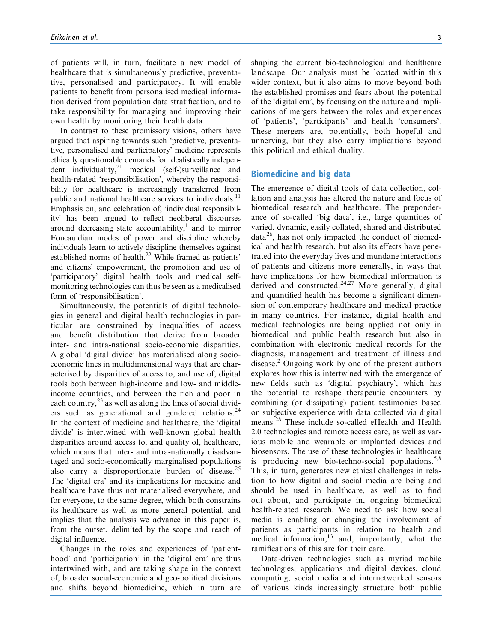of patients will, in turn, facilitate a new model of healthcare that is simultaneously predictive, preventative, personalised and participatory. It will enable patients to benefit from personalised medical information derived from population data stratification, and to take responsibility for managing and improving their own health by monitoring their health data.

In contrast to these promissory visions, others have argued that aspiring towards such 'predictive, preventative, personalised and participatory' medicine represents ethically questionable demands for idealistically independent individuality, $2^1$  medical (self-)surveillance and health-related 'responsibilisation', whereby the responsibility for healthcare is increasingly transferred from public and national healthcare services to individuals.<sup>11</sup> Emphasis on, and celebration of, 'individual responsibility' has been argued to reflect neoliberal discourses around decreasing state accountability, $\frac{1}{1}$  and to mirror Foucauldian modes of power and discipline whereby individuals learn to actively discipline themselves against established norms of health.<sup>22</sup> While framed as patients' and citizens' empowerment, the promotion and use of 'participatory' digital health tools and medical selfmonitoring technologies can thus be seen as a medicalised form of 'responsibilisation'.

Simultaneously, the potentials of digital technologies in general and digital health technologies in particular are constrained by inequalities of access and benefit distribution that derive from broader inter- and intra-national socio-economic disparities. A global 'digital divide' has materialised along socioeconomic lines in multidimensional ways that are characterised by disparities of access to, and use of, digital tools both between high-income and low- and middleincome countries, and between the rich and poor in each country, $^{23}$  as well as along the lines of social dividers such as generational and gendered relations.<sup>24</sup> In the context of medicine and healthcare, the 'digital divide' is intertwined with well-known global health disparities around access to, and quality of, healthcare, which means that inter- and intra-nationally disadvantaged and socio-economically marginalised populations also carry a disproportionate burden of disease.<sup>25</sup> The 'digital era' and its implications for medicine and healthcare have thus not materialised everywhere, and for everyone, to the same degree, which both constrains its healthcare as well as more general potential, and implies that the analysis we advance in this paper is, from the outset, delimited by the scope and reach of digital influence.

Changes in the roles and experiences of 'patienthood' and 'participation' in the 'digital era' are thus intertwined with, and are taking shape in the context of, broader social-economic and geo-political divisions and shifts beyond biomedicine, which in turn are shaping the current bio-technological and healthcare landscape. Our analysis must be located within this wider context, but it also aims to move beyond both the established promises and fears about the potential of the 'digital era', by focusing on the nature and implications of mergers between the roles and experiences of 'patients', 'participants' and health 'consumers'. These mergers are, potentially, both hopeful and unnerving, but they also carry implications beyond this political and ethical duality.

### Biomedicine and big data

The emergence of digital tools of data collection, collation and analysis has altered the nature and focus of biomedical research and healthcare. The preponderance of so-called 'big data', i.e., large quantities of varied, dynamic, easily collated, shared and distributed  $data<sup>26</sup>$ , has not only impacted the conduct of biomedical and health research, but also its effects have penetrated into the everyday lives and mundane interactions of patients and citizens more generally, in ways that have implications for how biomedical information is derived and constructed. $24,27$  More generally, digital and quantified health has become a significant dimension of contemporary healthcare and medical practice in many countries. For instance, digital health and medical technologies are being applied not only in biomedical and public health research but also in combination with electronic medical records for the diagnosis, management and treatment of illness and disease.<sup>2</sup> Ongoing work by one of the present authors explores how this is intertwined with the emergence of new fields such as 'digital psychiatry', which has the potential to reshape therapeutic encounters by combining (or dissipating) patient testimonies based on subjective experience with data collected via digital means.<sup>28</sup> These include so-called eHealth and Health 2.0 technologies and remote access care, as well as various mobile and wearable or implanted devices and biosensors. The use of these technologies in healthcare is producing new bio-techno-social populations. $5,8$ This, in turn, generates new ethical challenges in relation to how digital and social media are being and should be used in healthcare, as well as to find out about, and participate in, ongoing biomedical health-related research. We need to ask how social media is enabling or changing the involvement of patients as participants in relation to health and medical information, $13$  and, importantly, what the ramifications of this are for their care.

Data-driven technologies such as myriad mobile technologies, applications and digital devices, cloud computing, social media and internetworked sensors of various kinds increasingly structure both public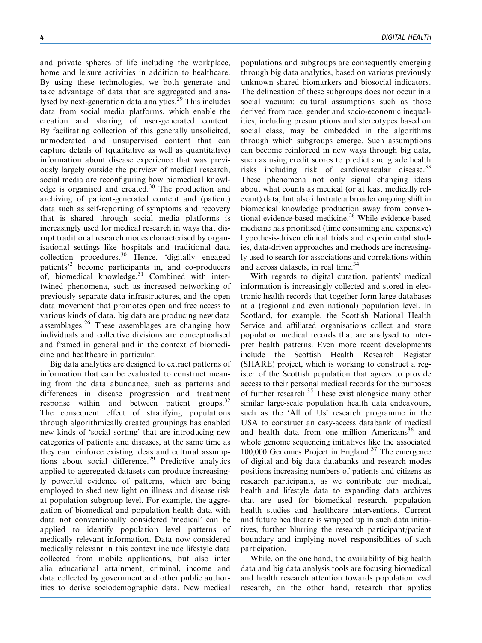and private spheres of life including the workplace, home and leisure activities in addition to healthcare. By using these technologies, we both generate and take advantage of data that are aggregated and analysed by next-generation data analytics. $^{29}$  This includes data from social media platforms, which enable the creation and sharing of user-generated content. By facilitating collection of this generally unsolicited, unmoderated and unsupervised content that can capture details of (qualitative as well as quantitative) information about disease experience that was previously largely outside the purview of medical research, social media are reconfiguring how biomedical knowledge is organised and created. $30$  The production and archiving of patient-generated content and (patient) data such as self-reporting of symptoms and recovery that is shared through social media platforms is increasingly used for medical research in ways that disrupt traditional research modes characterised by organisational settings like hospitals and traditional data collection procedures.<sup>30</sup> Hence, 'digitally engaged patients'<sup>2</sup> become participants in, and co-producers of, biomedical knowledge. $31$  Combined with intertwined phenomena, such as increased networking of previously separate data infrastructures, and the open data movement that promotes open and free access to various kinds of data, big data are producing new data assemblages.<sup>26</sup> These assemblages are changing how individuals and collective divisions are conceptualised and framed in general and in the context of biomedicine and healthcare in particular.

Big data analytics are designed to extract patterns of information that can be evaluated to construct meaning from the data abundance, such as patterns and differences in disease progression and treatment response within and between patient groups.<sup>32</sup> The consequent effect of stratifying populations through algorithmically created groupings has enabled new kinds of 'social sorting' that are introducing new categories of patients and diseases, at the same time as they can reinforce existing ideas and cultural assumptions about social difference.<sup>29</sup> Predictive analytics applied to aggregated datasets can produce increasingly powerful evidence of patterns, which are being employed to shed new light on illness and disease risk at population subgroup level. For example, the aggregation of biomedical and population health data with data not conventionally considered 'medical' can be applied to identify population level patterns of medically relevant information. Data now considered medically relevant in this context include lifestyle data collected from mobile applications, but also inter alia educational attainment, criminal, income and data collected by government and other public authorities to derive sociodemographic data. New medical

populations and subgroups are consequently emerging through big data analytics, based on various previously unknown shared biomarkers and biosocial indicators. The delineation of these subgroups does not occur in a social vacuum: cultural assumptions such as those derived from race, gender and socio-economic inequalities, including presumptions and stereotypes based on social class, may be embedded in the algorithms through which subgroups emerge. Such assumptions can become reinforced in new ways through big data, such as using credit scores to predict and grade health risks including risk of cardiovascular disease. $^{33}$ These phenomena not only signal changing ideas about what counts as medical (or at least medically relevant) data, but also illustrate a broader ongoing shift in biomedical knowledge production away from conventional evidence-based medicine.<sup>26</sup> While evidence-based medicine has prioritised (time consuming and expensive) hypothesis-driven clinical trials and experimental studies, data-driven approaches and methods are increasingly used to search for associations and correlations within and across datasets, in real time.<sup>34</sup>

With regards to digital curation, patients' medical information is increasingly collected and stored in electronic health records that together form large databases at a (regional and even national) population level. In Scotland, for example, the Scottish National Health Service and affiliated organisations collect and store population medical records that are analysed to interpret health patterns. Even more recent developments include the Scottish Health Research Register (SHARE) project, which is working to construct a register of the Scottish population that agrees to provide access to their personal medical records for the purposes of further research.<sup>35</sup> These exist alongside many other similar large-scale population health data endeavours, such as the 'All of Us' research programme in the USA to construct an easy-access databank of medical and health data from one million Americans<sup>36</sup> and whole genome sequencing initiatives like the associated 100,000 Genomes Project in England. $37$  The emergence of digital and big data databanks and research modes positions increasing numbers of patients and citizens as research participants, as we contribute our medical, health and lifestyle data to expanding data archives that are used for biomedical research, population health studies and healthcare interventions. Current and future healthcare is wrapped up in such data initiatives, further blurring the research participant/patient boundary and implying novel responsibilities of such participation.

While, on the one hand, the availability of big health data and big data analysis tools are focusing biomedical and health research attention towards population level research, on the other hand, research that applies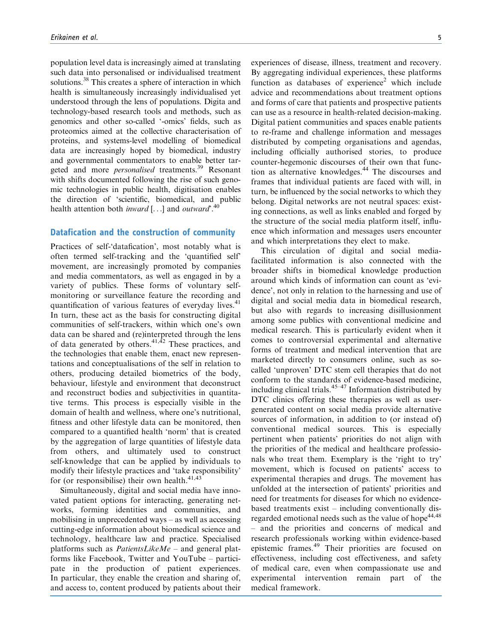population level data is increasingly aimed at translating such data into personalised or individualised treatment solutions.<sup>38</sup> This creates a sphere of interaction in which health is simultaneously increasingly individualised yet understood through the lens of populations. Digita and technology-based research tools and methods, such as genomics and other so-called '-omics' fields, such as proteomics aimed at the collective characterisation of proteins, and systems-level modelling of biomedical data are increasingly hoped by biomedical, industry and governmental commentators to enable better targeted and more *personalised* treatments.<sup>39</sup> Resonant with shifts documented following the rise of such genomic technologies in public health, digitisation enables the direction of 'scientific, biomedical, and public health attention both *inward* [...] and *outward*<sup>40</sup>.

## Datafication and the construction of community

Practices of self-'datafication', most notably what is often termed self-tracking and the 'quantified self' movement, are increasingly promoted by companies and media commentators, as well as engaged in by a variety of publics. These forms of voluntary selfmonitoring or surveillance feature the recording and quantification of various features of everyday lives.<sup>41</sup> In turn, these act as the basis for constructing digital communities of self-trackers, within which one's own data can be shared and (re)interpreted through the lens of data generated by others.<sup>41,42</sup> These practices, and the technologies that enable them, enact new representations and conceptualisations of the self in relation to others, producing detailed biometrics of the body, behaviour, lifestyle and environment that deconstruct and reconstruct bodies and subjectivities in quantitative terms. This process is especially visible in the domain of health and wellness, where one's nutritional, fitness and other lifestyle data can be monitored, then compared to a quantified health 'norm' that is created by the aggregation of large quantities of lifestyle data from others, and ultimately used to construct self-knowledge that can be applied by individuals to modify their lifestyle practices and 'take responsibility' for (or responsibilise) their own health. $41,43$ 

Simultaneously, digital and social media have innovated patient options for interacting, generating networks, forming identities and communities, and mobilising in unprecedented ways – as well as accessing cutting-edge information about biomedical science and technology, healthcare law and practice. Specialised platforms such as *PatientsLikeMe* – and general platforms like Facebook, Twitter and YouTube – participate in the production of patient experiences. In particular, they enable the creation and sharing of, and access to, content produced by patients about their experiences of disease, illness, treatment and recovery. By aggregating individual experiences, these platforms function as databases of experience<sup>2</sup> which include advice and recommendations about treatment options and forms of care that patients and prospective patients can use as a resource in health-related decision-making. Digital patient communities and spaces enable patients to re-frame and challenge information and messages distributed by competing organisations and agendas, including officially authorised stories, to produce counter-hegemonic discourses of their own that function as alternative knowledges.<sup>44</sup> The discourses and frames that individual patients are faced with will, in turn, be influenced by the social networks to which they belong. Digital networks are not neutral spaces: existing connections, as well as links enabled and forged by the structure of the social media platform itself, influence which information and messages users encounter and which interpretations they elect to make.

This circulation of digital and social mediafacilitated information is also connected with the broader shifts in biomedical knowledge production around which kinds of information can count as 'evidence', not only in relation to the harnessing and use of digital and social media data in biomedical research, but also with regards to increasing disillusionment among some publics with conventional medicine and medical research. This is particularly evident when it comes to controversial experimental and alternative forms of treatment and medical intervention that are marketed directly to consumers online, such as socalled 'unproven' DTC stem cell therapies that do not conform to the standards of evidence-based medicine, including clinical trials. $45-47$  Information distributed by DTC clinics offering these therapies as well as usergenerated content on social media provide alternative sources of information, in addition to (or instead of) conventional medical sources. This is especially pertinent when patients' priorities do not align with the priorities of the medical and healthcare professionals who treat them. Exemplary is the 'right to try' movement, which is focused on patients' access to experimental therapies and drugs. The movement has unfolded at the intersection of patients' priorities and need for treatments for diseases for which no evidencebased treatments exist – including conventionally disregarded emotional needs such as the value of hope<sup>44,48</sup> – and the priorities and concerns of medical and research professionals working within evidence-based epistemic frames.<sup>49</sup> Their priorities are focused on effectiveness, including cost effectiveness, and safety of medical care, even when compassionate use and experimental intervention remain part of the medical framework.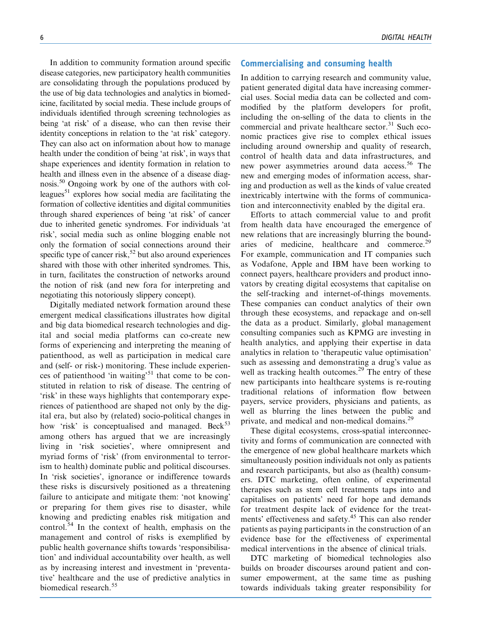In addition to community formation around specific disease categories, new participatory health communities are consolidating through the populations produced by the use of big data technologies and analytics in biomedicine, facilitated by social media. These include groups of individuals identified through screening technologies as being 'at risk' of a disease, who can then revise their identity conceptions in relation to the 'at risk' category. They can also act on information about how to manage health under the condition of being 'at risk', in ways that shape experiences and identity formation in relation to health and illness even in the absence of a disease diagnosis.50 Ongoing work by one of the authors with colleagues<sup>51</sup> explores how social media are facilitating the formation of collective identities and digital communities through shared experiences of being 'at risk' of cancer due to inherited genetic syndromes. For individuals 'at risk', social media such as online blogging enable not only the formation of social connections around their specific type of cancer risk,<sup>52</sup> but also around experiences shared with those with other inherited syndromes. This, in turn, facilitates the construction of networks around the notion of risk (and new fora for interpreting and

negotiating this notoriously slippery concept). Digitally mediated network formation around these emergent medical classifications illustrates how digital and big data biomedical research technologies and digital and social media platforms can co-create new forms of experiencing and interpreting the meaning of patienthood, as well as participation in medical care and (self- or risk-) monitoring. These include experiences of patienthood 'in waiting'<sup>51</sup> that come to be constituted in relation to risk of disease. The centring of 'risk' in these ways highlights that contemporary experiences of patienthood are shaped not only by the digital era, but also by (related) socio-political changes in how 'risk' is conceptualised and managed. Beck<sup>53</sup> among others has argued that we are increasingly living in 'risk societies', where omnipresent and myriad forms of 'risk' (from environmental to terrorism to health) dominate public and political discourses. In 'risk societies', ignorance or indifference towards these risks is discursively positioned as a threatening failure to anticipate and mitigate them: 'not knowing' or preparing for them gives rise to disaster, while knowing and predicting enables risk mitigation and control.<sup>54</sup> In the context of health, emphasis on the management and control of risks is exemplified by public health governance shifts towards 'responsibilisation' and individual accountability over health, as well as by increasing interest and investment in 'preventative' healthcare and the use of predictive analytics in biomedical research.<sup>55</sup>

#### 6 DIGITAL HEALTH

### Commercialising and consuming health

In addition to carrying research and community value, patient generated digital data have increasing commercial uses. Social media data can be collected and commodified by the platform developers for profit, including the on-selling of the data to clients in the commercial and private healthcare sector. $31$  Such economic practices give rise to complex ethical issues including around ownership and quality of research, control of health data and data infrastructures, and new power asymmetries around data access.<sup>56</sup> The new and emerging modes of information access, sharing and production as well as the kinds of value created inextricably intertwine with the forms of communication and interconnectivity enabled by the digital era.

Efforts to attach commercial value to and profit from health data have encouraged the emergence of new relations that are increasingly blurring the boundaries of medicine, healthcare and commerce.<sup>29</sup> For example, communication and IT companies such as Vodafone, Apple and IBM have been working to connect payers, healthcare providers and product innovators by creating digital ecosystems that capitalise on the self-tracking and internet-of-things movements. These companies can conduct analytics of their own through these ecosystems, and repackage and on-sell the data as a product. Similarly, global management consulting companies such as KPMG are investing in health analytics, and applying their expertise in data analytics in relation to 'therapeutic value optimisation' such as assessing and demonstrating a drug's value as well as tracking health outcomes.<sup>29</sup> The entry of these new participants into healthcare systems is re-routing traditional relations of information flow between payers, service providers, physicians and patients, as well as blurring the lines between the public and private, and medical and non-medical domains.<sup>29</sup>

These digital ecosystems, cross-spatial interconnectivity and forms of communication are connected with the emergence of new global healthcare markets which simultaneously position individuals not only as patients and research participants, but also as (health) consumers. DTC marketing, often online, of experimental therapies such as stem cell treatments taps into and capitalises on patients' need for hope and demands for treatment despite lack of evidence for the treatments' effectiveness and safety.<sup>45</sup> This can also render patients as paying participants in the construction of an evidence base for the effectiveness of experimental medical interventions in the absence of clinical trials.

DTC marketing of biomedical technologies also builds on broader discourses around patient and consumer empowerment, at the same time as pushing towards individuals taking greater responsibility for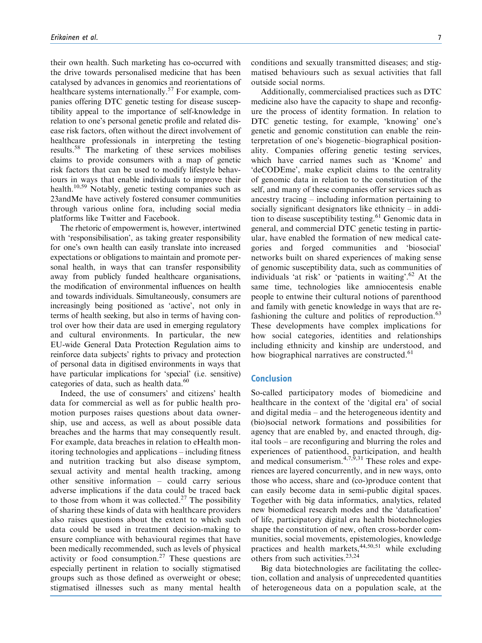their own health. Such marketing has co-occurred with the drive towards personalised medicine that has been catalysed by advances in genomics and reorientations of healthcare systems internationally.<sup>57</sup> For example, companies offering DTC genetic testing for disease susceptibility appeal to the importance of self-knowledge in relation to one's personal genetic profile and related disease risk factors, often without the direct involvement of healthcare professionals in interpreting the testing results.58 The marketing of these services mobilises claims to provide consumers with a map of genetic risk factors that can be used to modify lifestyle behaviours in ways that enable individuals to improve their health.<sup>10,59</sup> Notably, genetic testing companies such as 23andMe have actively fostered consumer communities through various online fora, including social media platforms like Twitter and Facebook.

The rhetoric of empowerment is, however, intertwined with 'responsibilisation', as taking greater responsibility for one's own health can easily translate into increased expectations or obligations to maintain and promote personal health, in ways that can transfer responsibility away from publicly funded healthcare organisations, the modification of environmental influences on health and towards individuals. Simultaneously, consumers are increasingly being positioned as 'active', not only in terms of health seeking, but also in terms of having control over how their data are used in emerging regulatory and cultural environments. In particular, the new EU-wide General Data Protection Regulation aims to reinforce data subjects' rights to privacy and protection of personal data in digitised environments in ways that have particular implications for 'special' (i.e. sensitive) categories of data, such as health data.<sup>60</sup>

Indeed, the use of consumers' and citizens' health data for commercial as well as for public health promotion purposes raises questions about data ownership, use and access, as well as about possible data breaches and the harms that may consequently result. For example, data breaches in relation to eHealth monitoring technologies and applications – including fitness and nutrition tracking but also disease symptom, sexual activity and mental health tracking, among other sensitive information – could carry serious adverse implications if the data could be traced back to those from whom it was collected.<sup>27</sup> The possibility of sharing these kinds of data with healthcare providers also raises questions about the extent to which such data could be used in treatment decision-making to ensure compliance with behavioural regimes that have been medically recommended, such as levels of physical activity or food consumption.<sup>27</sup> These questions are especially pertinent in relation to socially stigmatised groups such as those defined as overweight or obese; stigmatised illnesses such as many mental health conditions and sexually transmitted diseases; and stigmatised behaviours such as sexual activities that fall outside social norms.

Additionally, commercialised practices such as DTC medicine also have the capacity to shape and reconfigure the process of identity formation. In relation to DTC genetic testing, for example, 'knowing' one's genetic and genomic constitution can enable the reinterpretation of one's biogenetic–biographical positionality. Companies offering genetic testing services, which have carried names such as 'Knome' and 'deCODEme', make explicit claims to the centrality of genomic data in relation to the constitution of the self, and many of these companies offer services such as ancestry tracing – including information pertaining to socially significant designators like ethnicity – in addition to disease susceptibility testing. $61$  Genomic data in general, and commercial DTC genetic testing in particular, have enabled the formation of new medical categories and forged communities and 'biosocial' networks built on shared experiences of making sense of genomic susceptibility data, such as communities of individuals 'at risk' or 'patients in waiting'.62 At the same time, technologies like amniocentesis enable people to entwine their cultural notions of parenthood and family with genetic knowledge in ways that are refashioning the culture and politics of reproduction.<sup>63</sup> These developments have complex implications for how social categories, identities and relationships including ethnicity and kinship are understood, and how biographical narratives are constructed.<sup>61</sup>

### **Conclusion**

So-called participatory modes of biomedicine and healthcare in the context of the 'digital era' of social and digital media – and the heterogeneous identity and (bio)social network formations and possibilities for agency that are enabled by, and enacted through, digital tools – are reconfiguring and blurring the roles and experiences of patienthood, participation, and health and medical consumerism. $4,7,9,31$  These roles and experiences are layered concurrently, and in new ways, onto those who access, share and (co-)produce content that can easily become data in semi-public digital spaces. Together with big data informatics, analytics, related new biomedical research modes and the 'datafication' of life, participatory digital era health biotechnologies shape the constitution of new, often cross-border communities, social movements, epistemologies, knowledge practices and health markets, $44,50,51$  while excluding others from such activities. $23,24$ 

Big data biotechnologies are facilitating the collection, collation and analysis of unprecedented quantities of heterogeneous data on a population scale, at the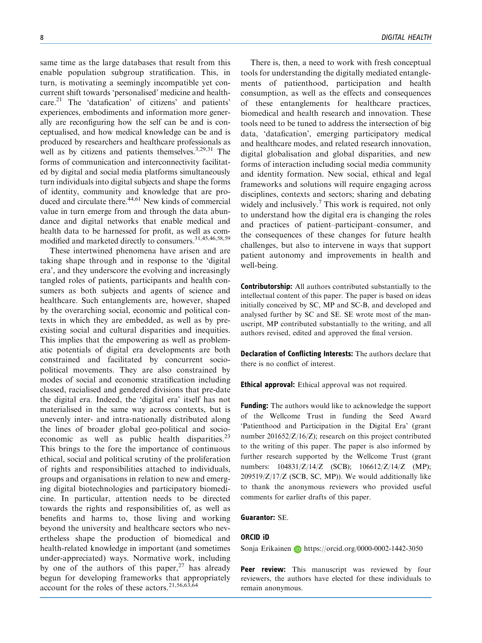same time as the large databases that result from this enable population subgroup stratification. This, in turn, is motivating a seemingly incompatible yet concurrent shift towards 'personalised' medicine and healthcare.21 The 'datafication' of citizens' and patients' experiences, embodiments and information more generally are reconfiguring how the self can be and is conceptualised, and how medical knowledge can be and is produced by researchers and healthcare professionals as well as by citizens and patients themselves.<sup>3,29,31</sup> The forms of communication and interconnectivity facilitated by digital and social media platforms simultaneously turn individuals into digital subjects and shape the forms of identity, community and knowledge that are produced and circulate there.<sup>44,61</sup> New kinds of commercial value in turn emerge from and through the data abundance and digital networks that enable medical and health data to be harnessed for profit, as well as commodified and marketed directly to consumers.<sup>31,45,46,58,59</sup>

These intertwined phenomena have arisen and are taking shape through and in response to the 'digital era', and they underscore the evolving and increasingly tangled roles of patients, participants and health consumers as both subjects and agents of science and healthcare. Such entanglements are, however, shaped by the overarching social, economic and political contexts in which they are embedded, as well as by preexisting social and cultural disparities and inequities. This implies that the empowering as well as problematic potentials of digital era developments are both constrained and facilitated by concurrent sociopolitical movements. They are also constrained by modes of social and economic stratification including classed, racialised and gendered divisions that pre-date the digital era. Indeed, the 'digital era' itself has not materialised in the same way across contexts, but is unevenly inter- and intra-nationally distributed along the lines of broader global geo-political and socioeconomic as well as public health disparities. $^{23}$ This brings to the fore the importance of continuous ethical, social and political scrutiny of the proliferation of rights and responsibilities attached to individuals, groups and organisations in relation to new and emerging digital biotechnologies and participatory biomedicine. In particular, attention needs to be directed towards the rights and responsibilities of, as well as benefits and harms to, those living and working beyond the university and healthcare sectors who nevertheless shape the production of biomedical and health-related knowledge in important (and sometimes under-appreciated) ways. Normative work, including by one of the authors of this paper,  $27$  has already begun for developing frameworks that appropriately account for the roles of these actors.  $2^{1,56,63,64}$ 

There is, then, a need to work with fresh conceptual tools for understanding the digitally mediated entanglements of patienthood, participation and health consumption, as well as the effects and consequences of these entanglements for healthcare practices, biomedical and health research and innovation. These tools need to be tuned to address the intersection of big data, 'datafication', emerging participatory medical and healthcare modes, and related research innovation, digital globalisation and global disparities, and new forms of interaction including social media community and identity formation. New social, ethical and legal frameworks and solutions will require engaging across disciplines, contexts and sectors; sharing and debating widely and inclusively.<sup>7</sup> This work is required, not only to understand how the digital era is changing the roles and practices of patient–participant–consumer, and the consequences of these changes for future health challenges, but also to intervene in ways that support patient autonomy and improvements in health and well-being.

**Contributorship:** All authors contributed substantially to the intellectual content of this paper. The paper is based on ideas initially conceived by SC, MP and SC-B, and developed and analysed further by SC and SE. SE wrote most of the manuscript, MP contributed substantially to the writing, and all authors revised, edited and approved the final version.

Declaration of Conflicting Interests: The authors declare that there is no conflict of interest.

Ethical approval: Ethical approval was not required.

Funding: The authors would like to acknowledge the support of the Wellcome Trust in funding the Seed Award 'Patienthood and Participation in the Digital Era' (grant number 201652/Z/16/Z); research on this project contributed to the writing of this paper. The paper is also informed by further research supported by the Wellcome Trust (grant numbers: 104831/Z/14/Z (SCB); 106612/Z/14/Z (MP);  $209519/Z/17/Z$  (SCB, SC, MP)). We would additionally like to thank the anonymous reviewers who provided useful comments for earlier drafts of this paper.

#### Guarantor: SE.

#### ORCID iD

Sonja Erikainen **<https://orcid.org/0000-0002-1442-3050>** 

Peer review: This manuscript was reviewed by four reviewers, the authors have elected for these individuals to remain anonymous.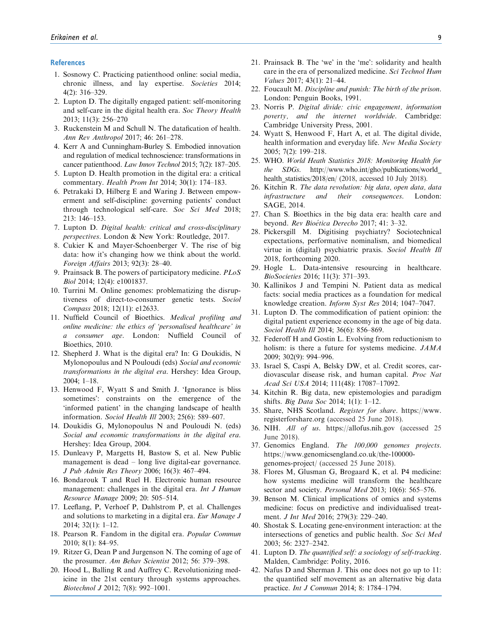#### **References**

- 1. Sosnowy C. Practicing patienthood online: social media, chronic illness, and lay expertise. Societies 2014; 4(2): 316–329.
- 2. Lupton D. The digitally engaged patient: self-monitoring and self-care in the digital health era. Soc Theory Health 2013; 11(3): 256–270
- 3. Ruckenstein M and Schull N. The datafication of health. Ann Rev Anthropol 2017; 46: 261–278.
- 4. Kerr A and Cunningham-Burley S. Embodied innovation and regulation of medical technoscience: transformations in cancer patienthood. Law Innov Technol 2015; 7(2): 187–205.
- 5. Lupton D. Health promotion in the digital era: a critical commentary. Health Prom Int 2014; 30(1): 174–183.
- 6. Petrakaki D, Hilberg E and Waring J. Between empowerment and self-discipline: governing patients' conduct through technological self-care. Soc Sci Med 2018; 213: 146–153.
- 7. Lupton D. Digital health: critical and cross-disciplinary perspectives. London & New York: Routledge, 2017.
- 8. Cukier K and Mayer-Schoenberger V. The rise of big data: how it's changing how we think about the world. Foreign Affairs 2013; 92(3): 28–40.
- 9. Prainsack B. The powers of participatory medicine. PLoS Biol 2014; 12(4): e1001837.
- 10. Turrini M. Online genomes: problematizing the disruptiveness of direct-to-consumer genetic tests. Sociol Compass 2018; 12(11): e12633.
- 11. Nuffield Council of Bioethics. Medical profiling and online medicine: the ethics of 'personalised healthcare' in a consumer age. London: Nuffield Council of Bioethics, 2010.
- 12. Shepherd J. What is the digital era? In: G Doukidis, N Mylonopoulus and N Pouloudi (eds) Social and economic transformations in the digital era. Hershey: Idea Group, 2004; 1–18.
- 13. Henwood F, Wyatt S and Smith J. 'Ignorance is bliss sometimes': constraints on the emergence of the 'informed patient' in the changing landscape of health information. Sociol Health Ill 2003; 25(6): 589–607.
- 14. Doukidis G, Mylonopoulus N and Pouloudi N. (eds) Social and economic transformations in the digital era. Hershey: Idea Group, 2004.
- 15. Dunleavy P, Margetts H, Bastow S, et al. New Public management is dead – long live digital-ear governance. J Pub Admin Res Theory 2006; 16(3): 467–494.
- 16. Bondarouk T and Ruel H. Electronic human resource management: challenges in the digital era. Int J Human Resource Manage 2009; 20: 505–514.
- 17. Leeflang, P, Verhoef P, Dahlstrom P, et al. Challenges and solutions to marketing in a digital era. Eur Manage J 2014; 32(1): 1–12.
- 18. Pearson R. Fandom in the digital era. Popular Commun 2010; 8(1): 84–95.
- 19. Ritzer G, Dean P and Jurgenson N. The coming of age of the prosumer. Am Behav Scientist 2012; 56: 379–398.
- 20. Hood L, Balling R and Auffrey C. Revolutionizing medicine in the 21st century through systems approaches. Biotechnol J 2012; 7(8): 992–1001.
- 21. Prainsack B. The 'we' in the 'me': solidarity and health care in the era of personalized medicine. Sci Technol Hum Values 2017; 43(1): 21–44.
- 22. Foucault M. Discipline and punish: The birth of the prison. London: Penguin Books, 1991.
- 23. Norris P. Digital divide: civic engagement, information poverty, and the internet worldwide. Cambridge: Cambridge University Press, 2001.
- 24. Wyatt S, Henwood F, Hart A, et al. The digital divide, health information and everyday life. New Media Society 2005; 7(2): 199–218.
- 25. WHO. World Heath Statistics 2018: Monitoring Health for the SDGs. [http://www.who.int/gho/publications/world\\_](http://www.who.int/gho/publications/world_health_statistics/2018/en/) [health\\_statistics/2018/en/](http://www.who.int/gho/publications/world_health_statistics/2018/en/) (2018, accessed 10 July 2018).
- 26. Kitchin R. The data revolution: big data, open data, data infrastructure and their consequences. London: SAGE, 2014.
- 27. Chan S. Bioethics in the big data era: health care and beyond. Rev Bioética Derecho 2017; 41: 3-32.
- 28. Pickersgill M. Digitising psychiatry? Sociotechnical expectations, performative nominalism, and biomedical virtue in (digital) psychiatric praxis. Sociol Health Ill 2018, forthcoming 2020.
- 29. Hogle L. Data-intensive resourcing in healthcare. BioSocieties 2016; 11(3): 371–393.
- 30. Kallinikos J and Tempini N. Patient data as medical facts: social media practices as a foundation for medical knowledge creation. Inform Syst Res 2014; 1047–7047.
- 31. Lupton D. The commodification of patient opinion: the digital patient experience economy in the age of big data. Sociol Health Ill 2014: 36(6): 856–869.
- 32. Federoff H and Gostin L. Evolving from reductionism to holism: is there a future for systems medicine. JAMA 2009; 302(9): 994–996.
- 33. Israel S, Caspi A, Belsky DW, et al. Credit scores, cardiovascular disease risk, and human capital. Proc Nat Acad Sci USA 2014; 111(48): 17087–17092.
- 34. Kitchin R. Big data, new epistemologies and paradigm shifts. Big Data Soc 2014; 1(1): 1–12.
- 35. Share, NHS Scotland. Register for share. [https://www.](https://www.registerforshare.org) [registerforshare.org](https://www.registerforshare.org) (accessed 25 June 2018).
- 36. NIH. All of us.<https://allofus.nih.gov> (accessed 25 June 2018).
- 37. Genomics England. The 100,000 genomes projects. [https://www.genomicsengland.co.uk/the-100000](https://www.genomicsengland.co.uk/the-100000-genomes-project/) [genomes-project/](https://www.genomicsengland.co.uk/the-100000-genomes-project/) (accessed 25 June 2018).
- 38. Flores M, Glusman G, Brogaard K, et al. P4 medicine: how systems medicine will transform the healthcare sector and society. *Personal Med* 2013; 10(6): 565–576.
- 39. Benson M. Clinical implications of omics and systems medicine: focus on predictive and individualised treatment. J Int Med 2016; 279(3): 229–240.
- 40. Shostak S. Locating gene-environment interaction: at the intersections of genetics and public health. Soc Sci Med 2003; 56: 2327–2342.
- 41. Lupton D. The quantified self: a sociology of self-tracking. Malden, Cambridge: Polity, 2016.
- 42. Nafus D and Sherman J. This one does not go up to 11: the quantified self movement as an alternative big data practice. Int J Commun 2014; 8: 1784–1794.